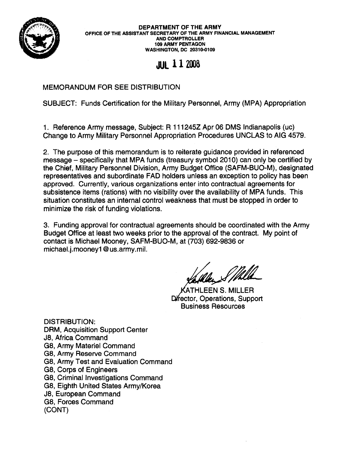

DEPARTMENT OF THE ARMY OFFICE OF THE ASSISTANT SECRETARY OF THE ARMY FINANCIAL MANAGEMENT AND COMPTROLLER 109 ARMY PENTAGON WASHINGTON, DC 20310-0109

**JUlll2006**

## MEMORANDUM FOR SEE DISTRIBUTION

SUBJECT: Funds Certification for the Military Personnel, Army (MPA) Appropriation

1. Reference Army message, Subject: R 111245Z Apr 06 OMS Indianapolis (uc) Change to Army Military Personnel Appropriation Procedures UNCLAS to AIG 4579.

2. The purpose of this memorandum is to reiterate guidance provided in referenced message - specifically that MPA funds (treasury symbol 2010) can only be certified by the Chief, Military Personnel Division, Army Budget Office (SAFM-BUO-M), designated representatives and subordinate FAD holders unless an exception to policy has been approved. Currently, various organizations enter into contractual agreements for subsistence items (rations) with no visibility over the availability of MPA funds. This situation constitutes an internal control weakness that must be stopped in order to minimize the risk of funding violations.

3. Funding approval for contractual agreements should be coordinated with the Army BUdget Office at least two weeks prior to the approval of the contract. My point of contact is Michael Mooney, SAFM-BUO-M, at (703) 692-9836 or michael.j.mooney1 @us.army.mil.

HLEEN S. MILLER Director, Operations, Support Business Resources

DISTRIBUTION: DRM, Acquisition Support Center J8, Africa Command G8, Army Materiel Command G8, Army Reserve Command G8, Army Test and Evaluation Command G8, Corps of Engineers G8, Criminal Investigations Command G8, Eighth United States Army/Korea J8, European Command G8, Forces Command (CONT)